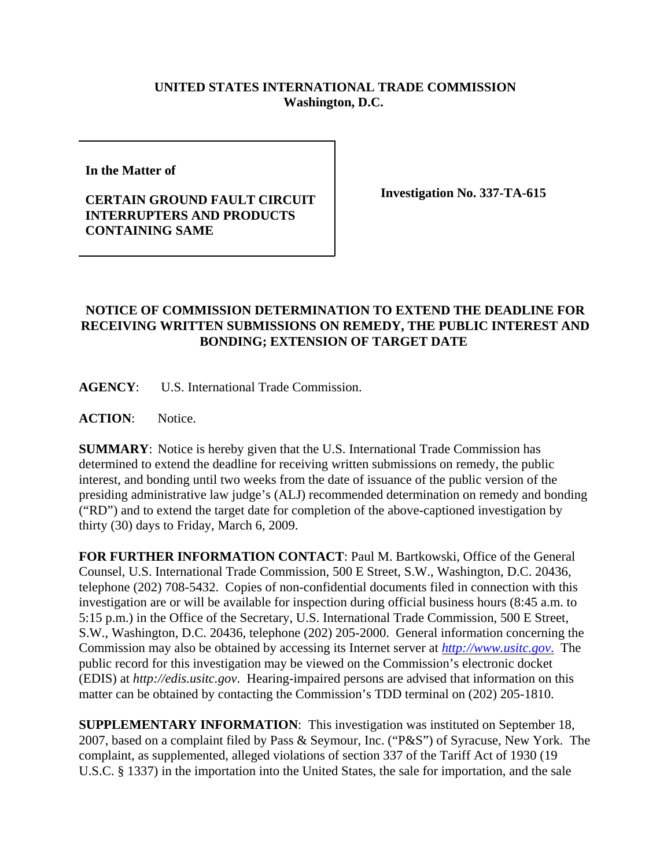## **UNITED STATES INTERNATIONAL TRADE COMMISSION Washington, D.C.**

**In the Matter of** 

## **CERTAIN GROUND FAULT CIRCUIT INTERRUPTERS AND PRODUCTS CONTAINING SAME**

**Investigation No. 337-TA-615**

## **NOTICE OF COMMISSION DETERMINATION TO EXTEND THE DEADLINE FOR RECEIVING WRITTEN SUBMISSIONS ON REMEDY, THE PUBLIC INTEREST AND BONDING; EXTENSION OF TARGET DATE**

**AGENCY**: U.S. International Trade Commission.

ACTION: Notice.

**SUMMARY**: Notice is hereby given that the U.S. International Trade Commission has determined to extend the deadline for receiving written submissions on remedy, the public interest, and bonding until two weeks from the date of issuance of the public version of the presiding administrative law judge's (ALJ) recommended determination on remedy and bonding ("RD") and to extend the target date for completion of the above-captioned investigation by thirty (30) days to Friday, March 6, 2009.

**FOR FURTHER INFORMATION CONTACT**: Paul M. Bartkowski, Office of the General Counsel, U.S. International Trade Commission, 500 E Street, S.W., Washington, D.C. 20436, telephone (202) 708-5432. Copies of non-confidential documents filed in connection with this investigation are or will be available for inspection during official business hours (8:45 a.m. to 5:15 p.m.) in the Office of the Secretary, U.S. International Trade Commission, 500 E Street, S.W., Washington, D.C. 20436, telephone (202) 205-2000. General information concerning the Commission may also be obtained by accessing its Internet server at *http://www.usitc.gov*. The public record for this investigation may be viewed on the Commission's electronic docket (EDIS) at *http://edis.usitc.gov*. Hearing-impaired persons are advised that information on this matter can be obtained by contacting the Commission's TDD terminal on (202) 205-1810.

**SUPPLEMENTARY INFORMATION**: This investigation was instituted on September 18, 2007, based on a complaint filed by Pass & Seymour, Inc. ("P&S") of Syracuse, New York. The complaint, as supplemented, alleged violations of section 337 of the Tariff Act of 1930 (19 U.S.C. § 1337) in the importation into the United States, the sale for importation, and the sale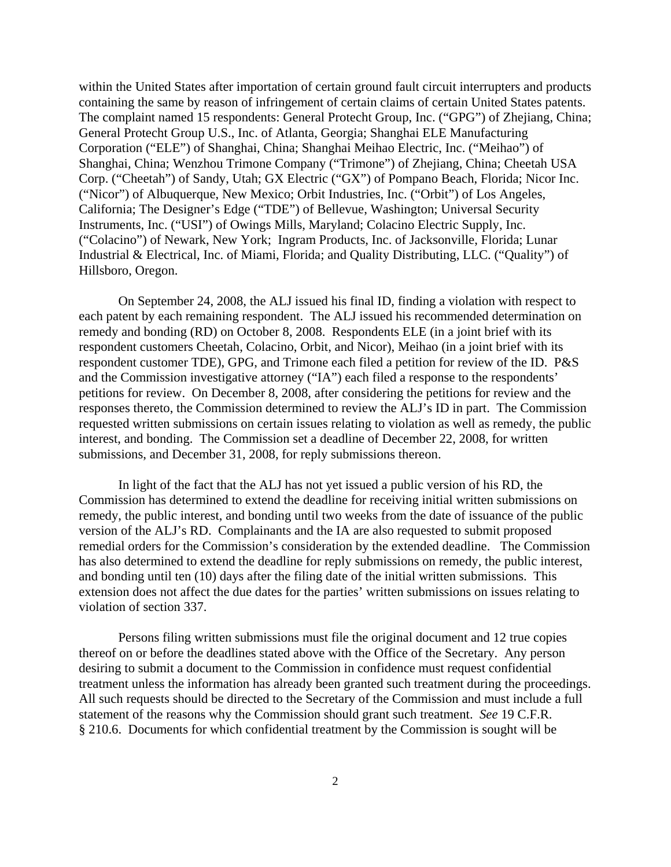within the United States after importation of certain ground fault circuit interrupters and products containing the same by reason of infringement of certain claims of certain United States patents. The complaint named 15 respondents: General Protecht Group, Inc. ("GPG") of Zhejiang, China; General Protecht Group U.S., Inc. of Atlanta, Georgia; Shanghai ELE Manufacturing Corporation ("ELE") of Shanghai, China; Shanghai Meihao Electric, Inc. ("Meihao") of Shanghai, China; Wenzhou Trimone Company ("Trimone") of Zhejiang, China; Cheetah USA Corp. ("Cheetah") of Sandy, Utah; GX Electric ("GX") of Pompano Beach, Florida; Nicor Inc. ("Nicor") of Albuquerque, New Mexico; Orbit Industries, Inc. ("Orbit") of Los Angeles, California; The Designer's Edge ("TDE") of Bellevue, Washington; Universal Security Instruments, Inc. ("USI") of Owings Mills, Maryland; Colacino Electric Supply, Inc. ("Colacino") of Newark, New York; Ingram Products, Inc. of Jacksonville, Florida; Lunar Industrial & Electrical, Inc. of Miami, Florida; and Quality Distributing, LLC. ("Quality") of Hillsboro, Oregon.

On September 24, 2008, the ALJ issued his final ID, finding a violation with respect to each patent by each remaining respondent. The ALJ issued his recommended determination on remedy and bonding (RD) on October 8, 2008. Respondents ELE (in a joint brief with its respondent customers Cheetah, Colacino, Orbit, and Nicor), Meihao (in a joint brief with its respondent customer TDE), GPG, and Trimone each filed a petition for review of the ID. P&S and the Commission investigative attorney ("IA") each filed a response to the respondents' petitions for review. On December 8, 2008, after considering the petitions for review and the responses thereto, the Commission determined to review the ALJ's ID in part. The Commission requested written submissions on certain issues relating to violation as well as remedy, the public interest, and bonding. The Commission set a deadline of December 22, 2008, for written submissions, and December 31, 2008, for reply submissions thereon.

In light of the fact that the ALJ has not yet issued a public version of his RD, the Commission has determined to extend the deadline for receiving initial written submissions on remedy, the public interest, and bonding until two weeks from the date of issuance of the public version of the ALJ's RD. Complainants and the IA are also requested to submit proposed remedial orders for the Commission's consideration by the extended deadline. The Commission has also determined to extend the deadline for reply submissions on remedy, the public interest, and bonding until ten (10) days after the filing date of the initial written submissions. This extension does not affect the due dates for the parties' written submissions on issues relating to violation of section 337.

Persons filing written submissions must file the original document and 12 true copies thereof on or before the deadlines stated above with the Office of the Secretary. Any person desiring to submit a document to the Commission in confidence must request confidential treatment unless the information has already been granted such treatment during the proceedings. All such requests should be directed to the Secretary of the Commission and must include a full statement of the reasons why the Commission should grant such treatment. *See* 19 C.F.R. § 210.6. Documents for which confidential treatment by the Commission is sought will be